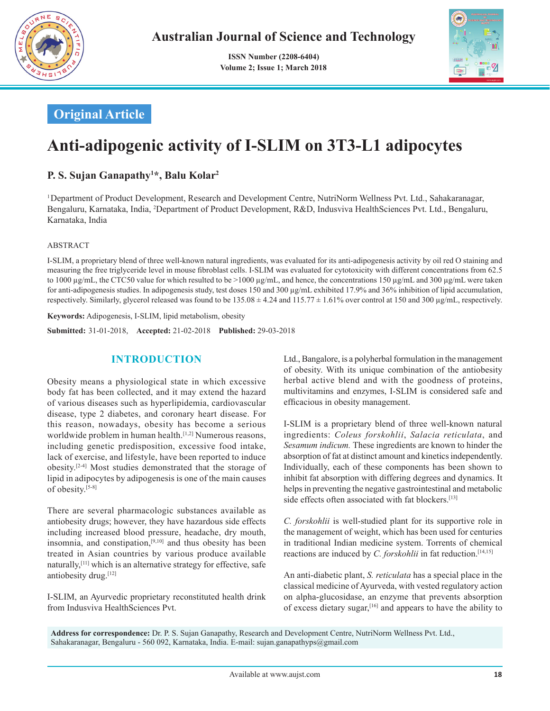

 **ISSN Number (2208-6404) Volume 2; Issue 1; March 2018**



## **Original Article**

# **Anti-adipogenic activity of I-SLIM on 3T3-L1 adipocytes**

## **P. S. Sujan Ganapathy1 \*, Balu Kolar2**

1  Department of Product Development, Research and Development Centre, NutriNorm Wellness Pvt. Ltd., Sahakaranagar, Bengaluru, Karnataka, India, <sup>2</sup>Department of Product Development, R&D, Indusviva HealthSciences Pvt. Ltd., Bengaluru, Karnataka, India

#### ABSTRACT

I-SLIM, a proprietary blend of three well-known natural ingredients, was evaluated for its anti-adipogenesis activity by oil red O staining and measuring the free triglyceride level in mouse fibroblast cells. I-SLIM was evaluated for cytotoxicity with different concentrations from 62.5 to 1000 μg/mL, the CTC50 value for which resulted to be >1000 μg/mL, and hence, the concentrations 150 μg/mL and 300 μg/mL were taken for anti-adipogenesis studies. In adipogenesis study, test doses 150 and 300 µg/mL exhibited 17.9% and 36% inhibition of lipid accumulation, respectively. Similarly, glycerol released was found to be  $135.08 \pm 4.24$  and  $115.77 \pm 1.61\%$  over control at 150 and 300 µg/mL, respectively.

**Keywords:** Adipogenesis, I-SLIM, lipid metabolism, obesity

**Submitted:**  31-01-2018, **Accepted:** 21-02-2018 **Published:** 29-03-2018

## **INTRODUCTION**

Obesity means a physiological state in which excessive body fat has been collected, and it may extend the hazard of various diseases such as hyperlipidemia, cardiovascular disease, type 2 diabetes, and coronary heart disease. For this reason, nowadays, obesity has become a serious worldwide problem in human health.<sup>[1,2]</sup> Numerous reasons, including genetic predisposition, excessive food intake, lack of exercise, and lifestyle, have been reported to induce obesity.[2-4] Most studies demonstrated that the storage of lipid in adipocytes by adipogenesis is one of the main causes of obesity.[5-8]

There are several pharmacologic substances available as antiobesity drugs; however, they have hazardous side effects including increased blood pressure, headache, dry mouth, insomnia, and constipation, $[9,10]$  and thus obesity has been treated in Asian countries by various produce available naturally,[11] which is an alternative strategy for effective, safe antiobesity drug.[12]

I-SLIM, an Ayurvedic proprietary reconstituted health drink from Indusviva HealthSciences Pvt.

Ltd., Bangalore, is a polyherbal formulation in the management of obesity. With its unique combination of the antiobesity herbal active blend and with the goodness of proteins, multivitamins and enzymes, I-SLIM is considered safe and efficacious in obesity management.

I-SLIM is a proprietary blend of three well-known natural ingredients: *Coleus forskohlii*, *Salacia reticulata*, and *Sesamum indicum.* These ingredients are known to hinder the absorption of fat at distinct amount and kinetics independently. Individually, each of these components has been shown to inhibit fat absorption with differing degrees and dynamics. It helps in preventing the negative gastrointestinal and metabolic side effects often associated with fat blockers.<sup>[13]</sup>

*C. forskohlii* is well-studied plant for its supportive role in the management of weight, which has been used for centuries in traditional Indian medicine system. Torrents of chemical reactions are induced by *C. forskohlii* in fat reduction.<sup>[14,15]</sup>

An anti-diabetic plant, *S. reticulata* has a special place in the classical medicine of Ayurveda, with vested regulatory action on alpha-glucosidase, an enzyme that prevents absorption of excess dietary sugar,[16] and appears to have the ability to

**Address for correspondence:** Dr. P. S. Sujan Ganapathy, Research and Development Centre, NutriNorm Wellness Pvt. Ltd., Sahakaranagar, Bengaluru - 560 092, Karnataka, India. E-mail: sujan.ganapathyps@gmail.com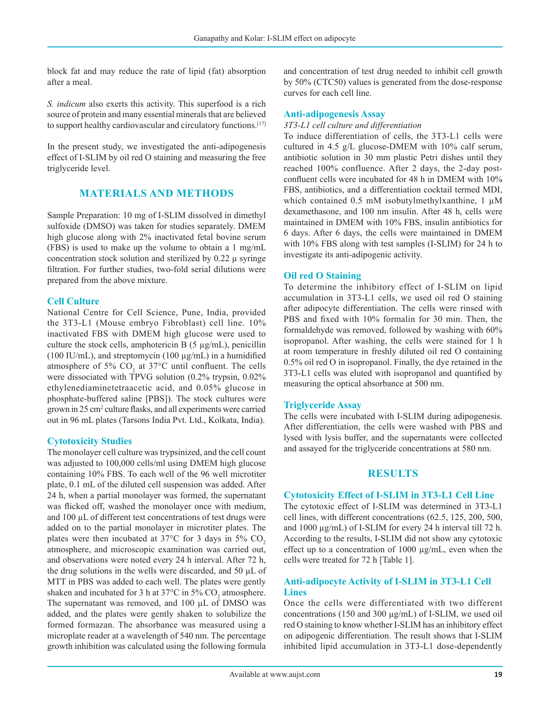block fat and may reduce the rate of lipid (fat) absorption after a meal.

*S. indicum* also exerts this activity. This superfood is a rich source of protein and many essential minerals that are believed to support healthy cardiovascular and circulatory functions.<sup>[17]</sup>

In the present study, we investigated the anti-adipogenesis effect of I-SLIM by oil red O staining and measuring the free triglyceride level.

## **MATERIALS AND METHODS**

Sample Preparation: 10 mg of I-SLIM dissolved in dimethyl sulfoxide (DMSO) was taken for studies separately. DMEM high glucose along with 2% inactivated fetal bovine serum (FBS) is used to make up the volume to obtain a 1 mg/mL concentration stock solution and sterilized by 0.22 μ syringe filtration. For further studies, two-fold serial dilutions were prepared from the above mixture.

#### **Cell Culture**

National Centre for Cell Science, Pune, India, provided the 3T3-L1 (Mouse embryo Fibroblast) cell line. 10% inactivated FBS with DMEM high glucose were used to culture the stock cells, amphotericin B  $(5 \mu g/mL)$ , penicillin (100 IU/mL), and streptomycin (100  $\mu$ g/mL) in a humidified atmosphere of 5%  $CO<sub>2</sub>$  at 37°C until confluent. The cells were dissociated with TPVG solution (0.2% trypsin, 0.02%) ethylenediaminetetraacetic acid, and 0.05% glucose in phosphate-buffered saline [PBS]). The stock cultures were grown in 25 cm<sup>2</sup> culture flasks, and all experiments were carried out in 96 mL plates (Tarsons India Pvt. Ltd., Kolkata, India).

#### **Cytotoxicity Studies**

The monolayer cell culture was trypsinized, and the cell count was adjusted to 100,000 cells/ml using DMEM high glucose containing 10% FBS. To each well of the 96 well microtiter plate, 0.1 mL of the diluted cell suspension was added. After 24 h, when a partial monolayer was formed, the supernatant was flicked off, washed the monolayer once with medium, and 100 µL of different test concentrations of test drugs were added on to the partial monolayer in microtiter plates. The plates were then incubated at  $37^{\circ}$ C for 3 days in  $5\%$  CO<sub>2</sub> atmosphere, and microscopic examination was carried out, and observations were noted every 24 h interval. After 72 h, the drug solutions in the wells were discarded, and 50 µL of MTT in PBS was added to each well. The plates were gently shaken and incubated for 3 h at  $37^{\circ}$ C in  $5\%$  CO<sub>2</sub> atmosphere. The supernatant was removed, and 100 µL of DMSO was added, and the plates were gently shaken to solubilize the formed formazan. The absorbance was measured using a microplate reader at a wavelength of 540 nm. The percentage growth inhibition was calculated using the following formula

and concentration of test drug needed to inhibit cell growth by 50% (CTC50) values is generated from the dose-response curves for each cell line.

#### **Anti-adipogenesis Assay**

#### *3T3-L1 cell culture and differentiation*

To induce differentiation of cells, the 3T3-L1 cells were cultured in 4.5 g/L glucose-DMEM with 10% calf serum, antibiotic solution in 30 mm plastic Petri dishes until they reached 100% confluence. After 2 days, the 2-day postconfluent cells were incubated for 48 h in DMEM with 10% FBS, antibiotics, and a differentiation cocktail termed MDI. which contained 0.5 mM isobutylmethylxanthine, 1  $\mu$ M dexamethasone, and 100 nm insulin. After 48 h, cells were maintained in DMEM with 10% FBS, insulin antibiotics for 6 days. After 6 days, the cells were maintained in DMEM with 10% FBS along with test samples (I-SLIM) for 24 h to investigate its anti-adipogenic activity.

#### **Oil red O Staining**

To determine the inhibitory effect of I-SLIM on lipid accumulation in 3T3-L1 cells, we used oil red O staining after adipocyte differentiation. The cells were rinsed with PBS and fixed with 10% formalin for 30 min. Then, the formaldehyde was removed, followed by washing with 60% isopropanol. After washing, the cells were stained for 1 h at room temperature in freshly diluted oil red O containing 0.5% oil red O in isopropanol. Finally, the dye retained in the 3T3-L1 cells was eluted with isopropanol and quantified by measuring the optical absorbance at 500 nm.

#### **Triglyceride Assay**

The cells were incubated with I-SLIM during adipogenesis. After differentiation, the cells were washed with PBS and lysed with lysis buffer, and the supernatants were collected and assayed for the triglyceride concentrations at 580 nm.

#### **RESULTS**

#### **Cytotoxicity Effect of I-SLIM in 3T3-L1 Cell Line**

The cytotoxic effect of I-SLIM was determined in 3T3-L1 cell lines, with different concentrations (62.5, 125, 200, 500, and 1000 µg/mL) of I-SLIM for every 24 h interval till 72 h. According to the results, I-SLIM did not show any cytotoxic effect up to a concentration of 1000 µg/mL, even when the cells were treated for 72 h [Table 1].

#### **Anti-adipocyte Activity of I-SLIM in 3T3-L1 Cell Lines**

Once the cells were differentiated with two different concentrations (150 and 300 µg/mL) of I-SLIM, we used oil red O staining to know whether I-SLIM has an inhibitory effect on adipogenic differentiation. The result shows that I-SLIM inhibited lipid accumulation in 3T3-L1 dose-dependently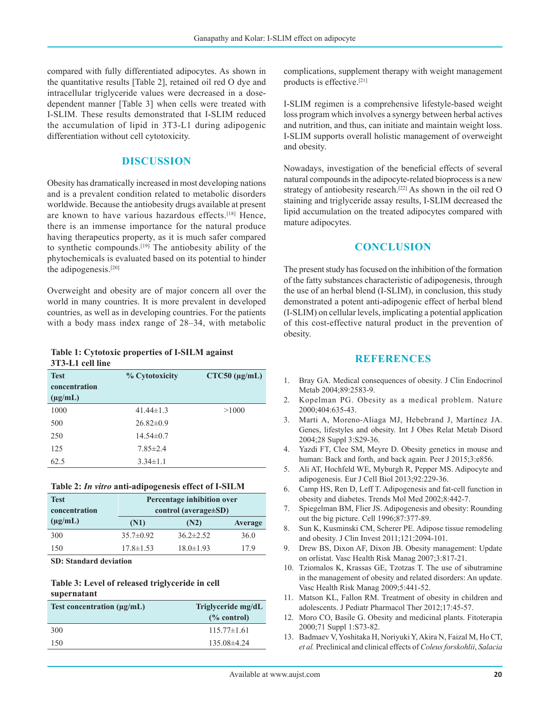compared with fully differentiated adipocytes. As shown in the quantitative results [Table 2], retained oil red O dye and intracellular triglyceride values were decreased in a dosedependent manner [Table 3] when cells were treated with I-SLIM. These results demonstrated that I-SLIM reduced the accumulation of lipid in 3T3-L1 during adipogenic differentiation without cell cytotoxicity.

#### **DISCUSSION**

Obesity has dramatically increased in most developing nations and is a prevalent condition related to metabolic disorders worldwide. Because the antiobesity drugs available at present are known to have various hazardous effects.[18] Hence, there is an immense importance for the natural produce having therapeutics property, as it is much safer compared to synthetic compounds.[19] The antiobesity ability of the phytochemicals is evaluated based on its potential to hinder the adipogenesis.[20]

Overweight and obesity are of major concern all over the world in many countries. It is more prevalent in developed countries, as well as in developing countries. For the patients with a body mass index range of 28–34, with metabolic

**Table 1: Cytotoxic properties of I-SILM against 3T3-L1 cell line**

| <b>Test</b>   | % Cytotoxicity  | $CTC50$ ( $\mu$ g/mL) |
|---------------|-----------------|-----------------------|
| concentration |                 |                       |
| $(\mu g/mL)$  |                 |                       |
| 1000          | $41.44 \pm 1.3$ | >1000                 |
| 500           | $26.82\pm0.9$   |                       |
| 250           | $14.54\pm0.7$   |                       |
| 125           | $7.85 \pm 2.4$  |                       |
| 62.5          | $3.34 \pm 1.1$  |                       |

**Table 2:** *In vitro* **anti-adipogenesis effect of I-SILM**

| <b>Test</b>   | Percentage inhibition over  |                 |                |
|---------------|-----------------------------|-----------------|----------------|
| concentration | control (average $\pm SD$ ) |                 |                |
| $(\mu g/mL)$  | (N1)                        | (N2)            | <b>Average</b> |
| 300           | $35.7\pm0.92$               | $36.2 \pm 2.52$ | 36.0           |
| 150           | $17.8 \pm 1.53$             | $18.0 \pm 1.93$ | 179            |

**SD: Standard deviation**

#### **Table 3: Level of released triglyceride in cell supernatant**

| Test concentration $(\mu \mathbf{g}/m\mathbf{L})$ | Triglyceride mg/dL<br>$(\%$ control) |  |
|---------------------------------------------------|--------------------------------------|--|
|                                                   |                                      |  |
| 300                                               | $115.77\pm1.61$                      |  |
| 150                                               | $135.08\pm4.24$                      |  |

complications, supplement therapy with weight management products is effective.[21]

I-SLIM regimen is a comprehensive lifestyle-based weight loss program which involves a synergy between herbal actives and nutrition, and thus, can initiate and maintain weight loss. I-SLIM supports overall holistic management of overweight and obesity.

Nowadays, investigation of the beneficial effects of several natural compounds in the adipocyte-related bioprocess is a new strategy of antiobesity research.<sup>[22]</sup> As shown in the oil red O staining and triglyceride assay results, I-SLIM decreased the lipid accumulation on the treated adipocytes compared with mature adipocytes.

#### **CONCLUSION**

The present study has focused on the inhibition of the formation of the fatty substances characteristic of adipogenesis, through the use of an herbal blend (I-SLIM), in conclusion, this study demonstrated a potent anti-adipogenic effect of herbal blend (I-SLIM) on cellular levels, implicating a potential application of this cost-effective natural product in the prevention of obesity.

#### **REFERENCES**

- 1. Bray GA. Medical consequences of obesity. J Clin Endocrinol Metab 2004;89:2583-9.
- 2. Kopelman PG. Obesity as a medical problem. Nature 2000;404:635-43.
- 3. Marti A, Moreno-Aliaga MJ, Hebebrand J, Martínez JA. Genes, lifestyles and obesity. Int J Obes Relat Metab Disord 2004;28 Suppl 3:S29-36.
- 4. Yazdi FT, Clee SM, Meyre D. Obesity genetics in mouse and human: Back and forth, and back again. Peer J 2015;3:e856.
- 5. Ali AT, Hochfeld WE, Myburgh R, Pepper MS. Adipocyte and adipogenesis. Eur J Cell Biol 2013;92:229-36.
- 6. Camp HS, Ren D, Leff T. Adipogenesis and fat-cell function in obesity and diabetes. Trends Mol Med 2002;8:442-7.
- 7. Spiegelman BM, Flier JS. Adipogenesis and obesity: Rounding out the big picture. Cell 1996;87:377-89.
- 8. Sun K, Kusminski CM, Scherer PE. Adipose tissue remodeling and obesity. J Clin Invest 2011;121:2094-101.
- 9. Drew BS, Dixon AF, Dixon JB. Obesity management: Update on orlistat. Vasc Health Risk Manag 2007;3:817-21.
- 10. Tziomalos K, Krassas GE, Tzotzas T. The use of sibutramine in the management of obesity and related disorders: An update. Vasc Health Risk Manag 2009;5:441-52.
- 11. Matson KL, Fallon RM. Treatment of obesity in children and adolescents. J Pediatr Pharmacol Ther 2012;17:45-57.
- 12. Moro CO, Basile G. Obesity and medicinal plants. Fitoterapia 2000;71 Suppl 1:S73-82.
- 13. Badmaev V, Yoshitaka H, Noriyuki Y, Akira N, Faizal M, Ho CT, *et al.* Preclinical and clinical effects of *Coleus forskohlii*, *Salacia*